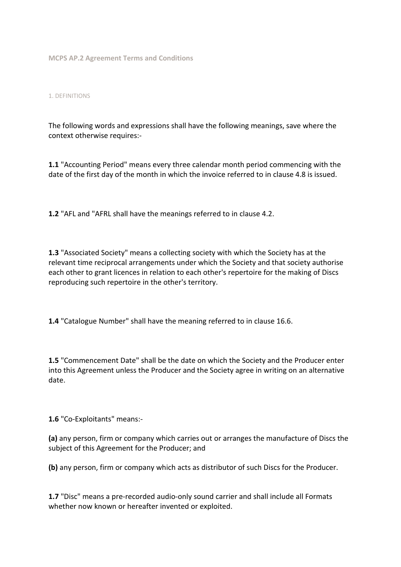**MCPS AP.2 Agreement Terms and Conditions** 

### 1. DEFINITIONS

The following words and expressions shall have the following meanings, save where the context otherwise requires:-

**1.1** "Accounting Period" means every three calendar month period commencing with the date of the first day of the month in which the invoice referred to in clause 4.8 is issued.

**1.2** "AFL and "AFRL shall have the meanings referred to in clause 4.2.

**1.3** "Associated Society" means a collecting society with which the Society has at the relevant time reciprocal arrangements under which the Society and that society authorise each other to grant licences in relation to each other's repertoire for the making of Discs reproducing such repertoire in the other's territory.

**1.4** "Catalogue Number" shall have the meaning referred to in clause 16.6.

**1.5** "Commencement Date" shall be the date on which the Society and the Producer enter into this Agreement unless the Producer and the Society agree in writing on an alternative date.

**1.6** "Co-Exploitants" means:-

**(a)** any person, firm or company which carries out or arranges the manufacture of Discs the subject of this Agreement for the Producer; and

**(b)** any person, firm or company which acts as distributor of such Discs for the Producer.

**1.7** "Disc" means a pre-recorded audio-only sound carrier and shall include all Formats whether now known or hereafter invented or exploited.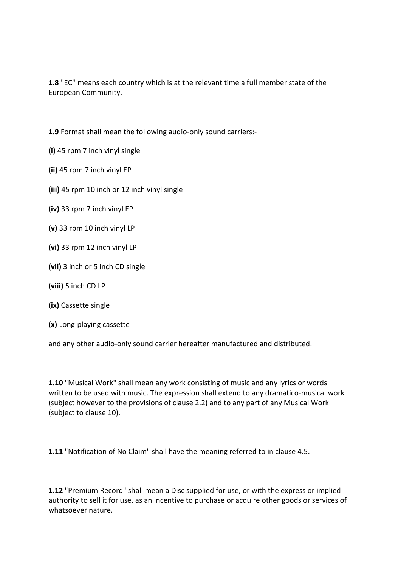**1.8** "EC'' means each country which is at the relevant time a full member state of the European Community.

**1.9** Format shall mean the following audio-only sound carriers:-

- **(i)** 45 rpm 7 inch vinyl single
- **(ii)** 45 rpm 7 inch vinyl EP
- **(iii)** 45 rpm 10 inch or 12 inch vinyl single
- **(iv)** 33 rpm 7 inch vinyl EP
- **(v)** 33 rpm 10 inch vinyl LP
- **(vi)** 33 rpm 12 inch vinyl LP
- **(vii)** 3 inch or 5 inch CD single
- **(viii)** 5 inch CD LP
- **(ix)** Cassette single
- **(x)** Long-playing cassette

and any other audio-only sound carrier hereafter manufactured and distributed.

**1.10** "Musical Work" shall mean any work consisting of music and any lyrics or words written to be used with music. The expression shall extend to any dramatico-musical work (subject however to the provisions of clause 2.2) and to any part of any Musical Work (subject to clause 10).

**1.11** "Notification of No Claim" shall have the meaning referred to in clause 4.5.

**1.12** "Premium Record" shall mean a Disc supplied for use, or with the express or implied authority to sell it for use, as an incentive to purchase or acquire other goods or services of whatsoever nature.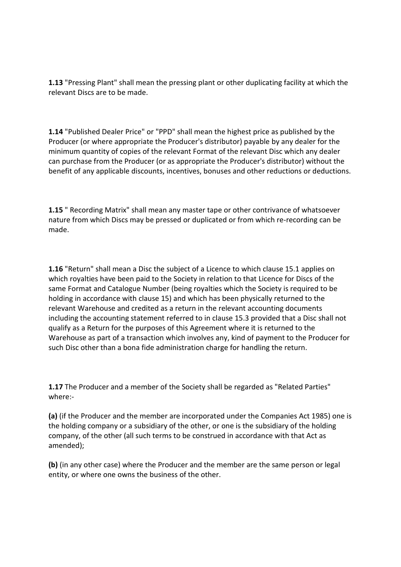**1.13** "Pressing Plant" shall mean the pressing plant or other duplicating facility at which the relevant Discs are to be made.

**1.14** "Published Dealer Price" or "PPD" shall mean the highest price as published by the Producer (or where appropriate the Producer's distributor) payable by any dealer for the minimum quantity of copies of the relevant Format of the relevant Disc which any dealer can purchase from the Producer (or as appropriate the Producer's distributor) without the benefit of any applicable discounts, incentives, bonuses and other reductions or deductions.

**1.15** " Recording Matrix" shall mean any master tape or other contrivance of whatsoever nature from which Discs may be pressed or duplicated or from which re-recording can be made.

**1.16** "Return" shall mean a Disc the subject of a Licence to which clause 15.1 applies on which royalties have been paid to the Society in relation to that Licence for Discs of the same Format and Catalogue Number (being royalties which the Society is required to be holding in accordance with clause 15) and which has been physically returned to the relevant Warehouse and credited as a return in the relevant accounting documents including the accounting statement referred to in clause 15.3 provided that a Disc shall not qualify as a Return for the purposes of this Agreement where it is returned to the Warehouse as part of a transaction which involves any, kind of payment to the Producer for such Disc other than a bona fide administration charge for handling the return.

**1.17** The Producer and a member of the Society shall be regarded as "Related Parties" where:-

**(a)** (if the Producer and the member are incorporated under the Companies Act 1985) one is the holding company or a subsidiary of the other, or one is the subsidiary of the holding company, of the other (all such terms to be construed in accordance with that Act as amended);

**(b)** (in any other case) where the Producer and the member are the same person or legal entity, or where one owns the business of the other.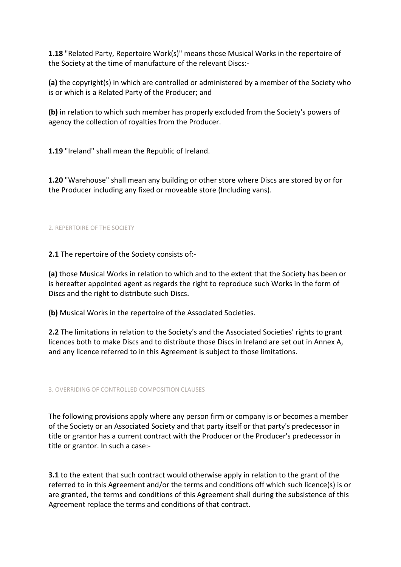**1.18** "Related Party, Repertoire Work(s)" means those Musical Works in the repertoire of the Society at the time of manufacture of the relevant Discs:-

**(a)** the copyright(s) in which are controlled or administered by a member of the Society who is or which is a Related Party of the Producer; and

**(b)** in relation to which such member has properly excluded from the Society's powers of agency the collection of royalties from the Producer.

**1.19** "Ireland" shall mean the Republic of Ireland.

**1.20** "Warehouse" shall mean any building or other store where Discs are stored by or for the Producer including any fixed or moveable store (Including vans).

# 2. REPERTOIRE OF THE SOCIETY

**2.1** The repertoire of the Society consists of:-

**(a)** those Musical Works in relation to which and to the extent that the Society has been or is hereafter appointed agent as regards the right to reproduce such Works in the form of Discs and the right to distribute such Discs.

**(b)** Musical Works in the repertoire of the Associated Societies.

**2.2** The limitations in relation to the Society's and the Associated Societies' rights to grant licences both to make Discs and to distribute those Discs in Ireland are set out in Annex A, and any licence referred to in this Agreement is subject to those limitations.

3. OVERRIDING OF CONTROLLED COMPOSITION CLAUSES

The following provisions apply where any person firm or company is or becomes a member of the Society or an Associated Society and that party itself or that party's predecessor in title or grantor has a current contract with the Producer or the Producer's predecessor in title or grantor. In such a case:-

**3.1** to the extent that such contract would otherwise apply in relation to the grant of the referred to in this Agreement and/or the terms and conditions off which such licence(s) is or are granted, the terms and conditions of this Agreement shall during the subsistence of this Agreement replace the terms and conditions of that contract.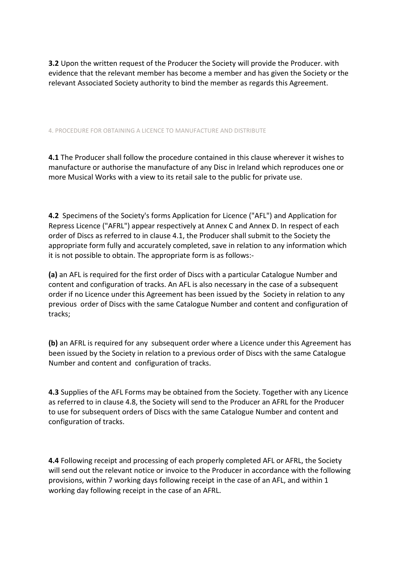**3.2** Upon the written request of the Producer the Society will provide the Producer. with evidence that the relevant member has become a member and has given the Society or the relevant Associated Society authority to bind the member as regards this Agreement.

4. PROCEDURE FOR OBTAINING A LICENCE TO MANUFACTURE AND DISTRIBUTE

**4.1** The Producer shall follow the procedure contained in this clause wherever it wishes to manufacture or authorise the manufacture of any Disc in Ireland which reproduces one or more Musical Works with a view to its retail sale to the public for private use.

**4.2** Specimens of the Society's forms Application for Licence ("AFL") and Application for Repress Licence ("AFRL") appear respectively at Annex C and Annex D. In respect of each order of Discs as referred to in clause 4.1, the Producer shall submit to the Society the appropriate form fully and accurately completed, save in relation to any information which it is not possible to obtain. The appropriate form is as follows:-

**(a)** an AFL is required for the first order of Discs with a particular Catalogue Number and content and configuration of tracks. An AFL is also necessary in the case of a subsequent order if no Licence under this Agreement has been issued by the Society in relation to any previous order of Discs with the same Catalogue Number and content and configuration of tracks;

**(b)** an AFRL is required for any subsequent order where a Licence under this Agreement has been issued by the Society in relation to a previous order of Discs with the same Catalogue Number and content and configuration of tracks.

**4.3** Supplies of the AFL Forms may be obtained from the Society. Together with any Licence as referred to in clause 4.8, the Society will send to the Producer an AFRL for the Producer to use for subsequent orders of Discs with the same Catalogue Number and content and configuration of tracks.

**4.4** Following receipt and processing of each properly completed AFL or AFRL, the Society will send out the relevant notice or invoice to the Producer in accordance with the following provisions, within 7 working days following receipt in the case of an AFL, and within 1 working day following receipt in the case of an AFRL.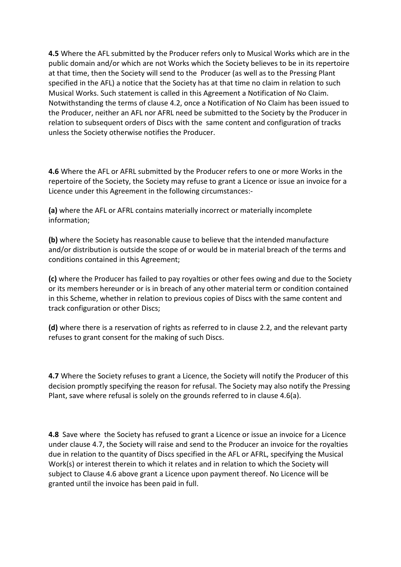**4.5** Where the AFL submitted by the Producer refers only to Musical Works which are in the public domain and/or which are not Works which the Society believes to be in its repertoire at that time, then the Society will send to the Producer (as well as to the Pressing Plant specified in the AFL) a notice that the Society has at that time no claim in relation to such Musical Works. Such statement is called in this Agreement a Notification of No Claim. Notwithstanding the terms of clause 4.2, once a Notification of No Claim has been issued to the Producer, neither an AFL nor AFRL need be submitted to the Society by the Producer in relation to subsequent orders of Discs with the same content and configuration of tracks unless the Society otherwise notifies the Producer.

**4.6** Where the AFL or AFRL submitted by the Producer refers to one or more Works in the repertoire of the Society, the Society may refuse to grant a Licence or issue an invoice for a Licence under this Agreement in the following circumstances:-

**(a)** where the AFL or AFRL contains materially incorrect or materially incomplete information;

**(b)** where the Society has reasonable cause to believe that the intended manufacture and/or distribution is outside the scope of or would be in material breach of the terms and conditions contained in this Agreement;

**(c)** where the Producer has failed to pay royalties or other fees owing and due to the Society or its members hereunder or is in breach of any other material term or condition contained in this Scheme, whether in relation to previous copies of Discs with the same content and track configuration or other Discs;

**(d)** where there is a reservation of rights as referred to in clause 2.2, and the relevant party refuses to grant consent for the making of such Discs.

**4.7** Where the Society refuses to grant a Licence, the Society will notify the Producer of this decision promptly specifying the reason for refusal. The Society may also notify the Pressing Plant, save where refusal is solely on the grounds referred to in clause 4.6(a).

**4.8** Save where the Society has refused to grant a Licence or issue an invoice for a Licence under clause 4.7, the Society will raise and send to the Producer an invoice for the royalties due in relation to the quantity of Discs specified in the AFL or AFRL, specifying the Musical Work(s) or interest therein to which it relates and in relation to which the Society will subject to Clause 4.6 above grant a Licence upon payment thereof. No Licence will be granted until the invoice has been paid in full.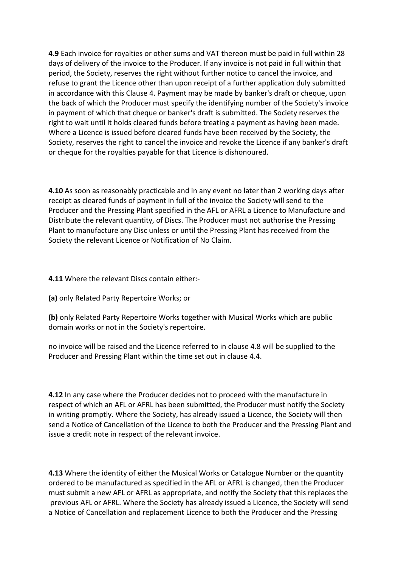**4.9** Each invoice for royalties or other sums and VAT thereon must be paid in full within 28 days of delivery of the invoice to the Producer. If any invoice is not paid in full within that period, the Society, reserves the right without further notice to cancel the invoice, and refuse to grant the Licence other than upon receipt of a further application duly submitted in accordance with this Clause 4. Payment may be made by banker's draft or cheque, upon the back of which the Producer must specify the identifying number of the Society's invoice in payment of which that cheque or banker's draft is submitted. The Society reserves the right to wait until it holds cleared funds before treating a payment as having been made. Where a Licence is issued before cleared funds have been received by the Society, the Society, reserves the right to cancel the invoice and revoke the Licence if any banker's draft or cheque for the royalties payable for that Licence is dishonoured.

**4.10** As soon as reasonably practicable and in any event no later than 2 working days after receipt as cleared funds of payment in full of the invoice the Society will send to the Producer and the Pressing Plant specified in the AFL or AFRL a Licence to Manufacture and Distribute the relevant quantity, of Discs. The Producer must not authorise the Pressing Plant to manufacture any Disc unless or until the Pressing Plant has received from the Society the relevant Licence or Notification of No Claim.

**4.11** Where the relevant Discs contain either:-

**(a)** only Related Party Repertoire Works; or

**(b)** only Related Party Repertoire Works together with Musical Works which are public domain works or not in the Society's repertoire.

no invoice will be raised and the Licence referred to in clause 4.8 will be supplied to the Producer and Pressing Plant within the time set out in clause 4.4.

**4.12** In any case where the Producer decides not to proceed with the manufacture in respect of which an AFL or AFRL has been submitted, the Producer must notify the Society in writing promptly. Where the Society, has already issued a Licence, the Society will then send a Notice of Cancellation of the Licence to both the Producer and the Pressing Plant and issue a credit note in respect of the relevant invoice.

**4.13** Where the identity of either the Musical Works or Catalogue Number or the quantity ordered to be manufactured as specified in the AFL or AFRL is changed, then the Producer must submit a new AFL or AFRL as appropriate, and notify the Society that this replaces the previous AFL or AFRL. Where the Society has already issued a Licence, the Society will send a Notice of Cancellation and replacement Licence to both the Producer and the Pressing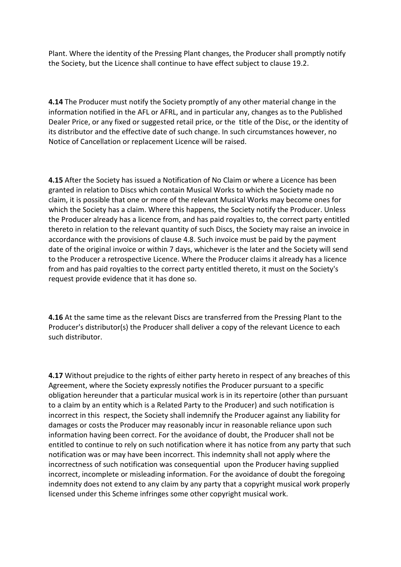Plant. Where the identity of the Pressing Plant changes, the Producer shall promptly notify the Society, but the Licence shall continue to have effect subject to clause 19.2.

**4.14** The Producer must notify the Society promptly of any other material change in the information notified in the AFL or AFRL, and in particular any, changes as to the Published Dealer Price, or any fixed or suggested retail price, or the title of the Disc, or the identity of its distributor and the effective date of such change. In such circumstances however, no Notice of Cancellation or replacement Licence will be raised.

**4.15** After the Society has issued a Notification of No Claim or where a Licence has been granted in relation to Discs which contain Musical Works to which the Society made no claim, it is possible that one or more of the relevant Musical Works may become ones for which the Society has a claim. Where this happens, the Society notify the Producer. Unless the Producer already has a licence from, and has paid royalties to, the correct party entitled thereto in relation to the relevant quantity of such Discs, the Society may raise an invoice in accordance with the provisions of clause 4.8. Such invoice must be paid by the payment date of the original invoice or within 7 days, whichever is the later and the Society will send to the Producer a retrospective Licence. Where the Producer claims it already has a licence from and has paid royalties to the correct party entitled thereto, it must on the Society's request provide evidence that it has done so.

**4.16** At the same time as the relevant Discs are transferred from the Pressing Plant to the Producer's distributor(s) the Producer shall deliver a copy of the relevant Licence to each such distributor.

**4.17** Without prejudice to the rights of either party hereto in respect of any breaches of this Agreement, where the Society expressly notifies the Producer pursuant to a specific obligation hereunder that a particular musical work is in its repertoire (other than pursuant to a claim by an entity which is a Related Party to the Producer) and such notification is incorrect in this respect, the Society shall indemnify the Producer against any liability for damages or costs the Producer may reasonably incur in reasonable reliance upon such information having been correct. For the avoidance of doubt, the Producer shall not be entitled to continue to rely on such notification where it has notice from any party that such notification was or may have been incorrect. This indemnity shall not apply where the incorrectness of such notification was consequential upon the Producer having supplied incorrect, incomplete or misleading information. For the avoidance of doubt the foregoing indemnity does not extend to any claim by any party that a copyright musical work properly licensed under this Scheme infringes some other copyright musical work.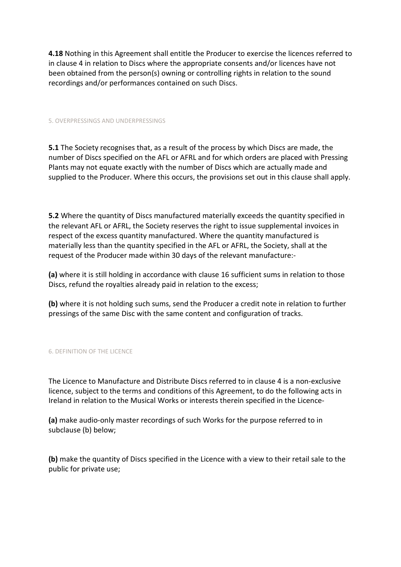**4.18** Nothing in this Agreement shall entitle the Producer to exercise the licences referred to in clause 4 in relation to Discs where the appropriate consents and/or licences have not been obtained from the person(s) owning or controlling rights in relation to the sound recordings and/or performances contained on such Discs.

#### 5. OVERPRESSINGS AND UNDERPRESSINGS

**5.1** The Society recognises that, as a result of the process by which Discs are made, the number of Discs specified on the AFL or AFRL and for which orders are placed with Pressing Plants may not equate exactly with the number of Discs which are actually made and supplied to the Producer. Where this occurs, the provisions set out in this clause shall apply.

**5.2** Where the quantity of Discs manufactured materially exceeds the quantity specified in the relevant AFL or AFRL, the Society reserves the right to issue supplemental invoices in respect of the excess quantity manufactured. Where the quantity manufactured is materially less than the quantity specified in the AFL or AFRL, the Society, shall at the request of the Producer made within 30 days of the relevant manufacture:-

**(a)** where it is still holding in accordance with clause 16 sufficient sums in relation to those Discs, refund the royalties already paid in relation to the excess;

**(b)** where it is not holding such sums, send the Producer a credit note in relation to further pressings of the same Disc with the same content and configuration of tracks.

#### 6. DEFINITION OF THE LICENCE

The Licence to Manufacture and Distribute Discs referred to in clause 4 is a non-exclusive licence, subject to the terms and conditions of this Agreement, to do the following acts in Ireland in relation to the Musical Works or interests therein specified in the Licence-

**(a)** make audio-only master recordings of such Works for the purpose referred to in subclause (b) below;

**(b)** make the quantity of Discs specified in the Licence with a view to their retail sale to the public for private use;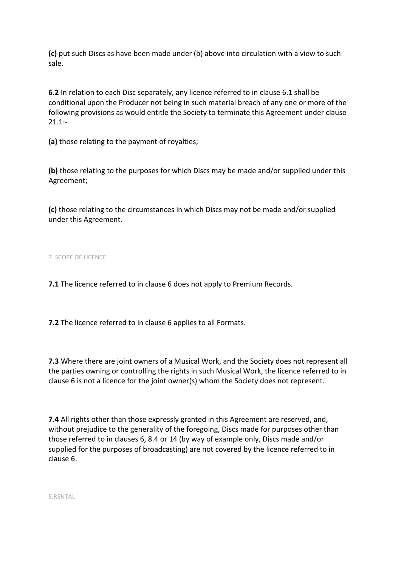**(c)** put such Discs as have been made under (b) above into circulation with a view to such sale.

**6.2** In relation to each Disc separately, any licence referred to in clause 6.1 shall be conditional upon the Producer not being in such material breach of any one or more of the following provisions as would entitle the Society to terminate this Agreement under clause  $21.1$ :-

**(a)** those relating to the payment of royalties;

**(b)** those relating to the purposes for which Discs may be made and/or supplied under this Agreement;

**(c)** those relating to the circumstances in which Discs may not be made and/or supplied under this Agreement.

7. SCOPE OF LICENCE

**7.1** The licence referred to in clause 6 does not apply to Premium Records.

**7.2** The licence referred to in clause 6 applies to all Formats.

**7.3** Where there are joint owners of a Musical Work, and the Society does not represent all the parties owning or controlling the rights in such Musical Work, the licence referred to in clause 6 is not a licence for the joint owner(s) whom the Society does not represent.

**7.4** All rights other than those expressly granted in this Agreement are reserved, and, without prejudice to the generality of the foregoing, Discs made for purposes other than those referred to in clauses 6, 8.4 or 14 (by way of example only, Discs made and/or supplied for the purposes of broadcasting) are not covered by the licence referred to in clause 6.

8.RENTAL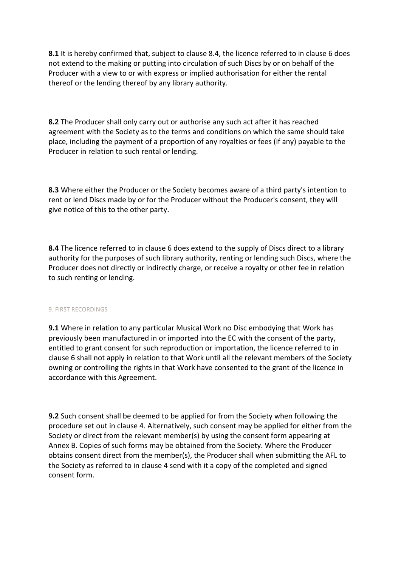**8.1** It is hereby confirmed that, subject to clause 8.4, the licence referred to in clause 6 does not extend to the making or putting into circulation of such Discs by or on behalf of the Producer with a view to or with express or implied authorisation for either the rental thereof or the lending thereof by any library authority.

**8.2** The Producer shall only carry out or authorise any such act after it has reached agreement with the Society as to the terms and conditions on which the same should take place, including the payment of a proportion of any royalties or fees (if any) payable to the Producer in relation to such rental or lending.

**8.3** Where either the Producer or the Society becomes aware of a third party's intention to rent or lend Discs made by or for the Producer without the Producer's consent, they will give notice of this to the other party.

**8.4** The licence referred to in clause 6 does extend to the supply of Discs direct to a library authority for the purposes of such library authority, renting or lending such Discs, where the Producer does not directly or indirectly charge, or receive a royalty or other fee in relation to such renting or lending.

# 9. FIRST RECORDINGS

**9.1** Where in relation to any particular Musical Work no Disc embodying that Work has previously been manufactured in or imported into the EC with the consent of the party, entitled to grant consent for such reproduction or importation, the licence referred to in clause 6 shall not apply in relation to that Work until all the relevant members of the Society owning or controlling the rights in that Work have consented to the grant of the licence in accordance with this Agreement.

**9.2** Such consent shall be deemed to be applied for from the Society when following the procedure set out in clause 4. Alternatively, such consent may be applied for either from the Society or direct from the relevant member(s) by using the consent form appearing at Annex B. Copies of such forms may be obtained from the Society. Where the Producer obtains consent direct from the member(s), the Producer shall when submitting the AFL to the Society as referred to in clause 4 send with it a copy of the completed and signed consent form.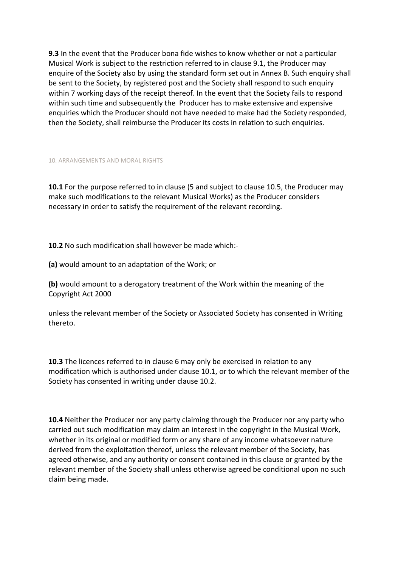**9.3** In the event that the Producer bona fide wishes to know whether or not a particular Musical Work is subject to the restriction referred to in clause 9.1, the Producer may enquire of the Society also by using the standard form set out in Annex B. Such enquiry shall be sent to the Society, by registered post and the Society shall respond to such enquiry within 7 working days of the receipt thereof. In the event that the Society fails to respond within such time and subsequently the Producer has to make extensive and expensive enquiries which the Producer should not have needed to make had the Society responded, then the Society, shall reimburse the Producer its costs in relation to such enquiries.

10. ARRANGEMENTS AND MORAL RIGHTS

**10.1** For the purpose referred to in clause (5 and subject to clause 10.5, the Producer may make such modifications to the relevant Musical Works) as the Producer considers necessary in order to satisfy the requirement of the relevant recording.

**10.2** No such modification shall however be made which:-

**(a)** would amount to an adaptation of the Work; or

**(b)** would amount to a derogatory treatment of the Work within the meaning of the Copyright Act 2000

unless the relevant member of the Society or Associated Society has consented in Writing thereto.

**10.3** The licences referred to in clause 6 may only be exercised in relation to any modification which is authorised under clause 10.1, or to which the relevant member of the Society has consented in writing under clause 10.2.

**10.4** Neither the Producer nor any party claiming through the Producer nor any party who carried out such modification may claim an interest in the copyright in the Musical Work, whether in its original or modified form or any share of any income whatsoever nature derived from the exploitation thereof, unless the relevant member of the Society, has agreed otherwise, and any authority or consent contained in this clause or granted by the relevant member of the Society shall unless otherwise agreed be conditional upon no such claim being made.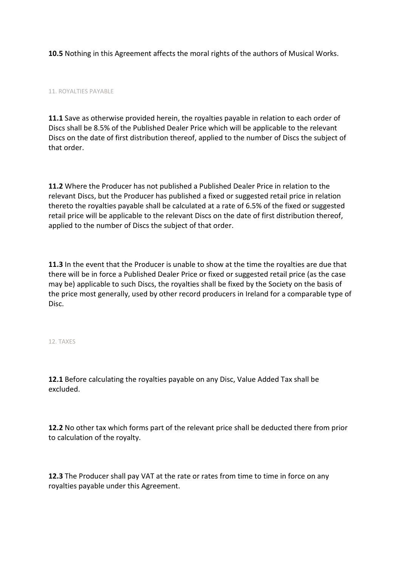**10.5** Nothing in this Agreement affects the moral rights of the authors of Musical Works.

11. ROYALTIES PAYABLE

**11.1** Save as otherwise provided herein, the royalties payable in relation to each order of Discs shall be 8.5% of the Published Dealer Price which will be applicable to the relevant Discs on the date of first distribution thereof, applied to the number of Discs the subject of that order.

**11.2** Where the Producer has not published a Published Dealer Price in relation to the relevant Discs, but the Producer has published a fixed or suggested retail price in relation thereto the royalties payable shall be calculated at a rate of 6.5% of the fixed or suggested retail price will be applicable to the relevant Discs on the date of first distribution thereof, applied to the number of Discs the subject of that order.

**11.3** In the event that the Producer is unable to show at the time the royalties are due that there will be in force a Published Dealer Price or fixed or suggested retail price (as the case may be) applicable to such Discs, the royalties shall be fixed by the Society on the basis of the price most generally, used by other record producers in Ireland for a comparable type of Disc.

12. TAXES

**12.1** Before calculating the royalties payable on any Disc, Value Added Tax shall be excluded.

**12.2** No other tax which forms part of the relevant price shall be deducted there from prior to calculation of the royalty.

**12.3** The Producer shall pay VAT at the rate or rates from time to time in force on any royalties payable under this Agreement.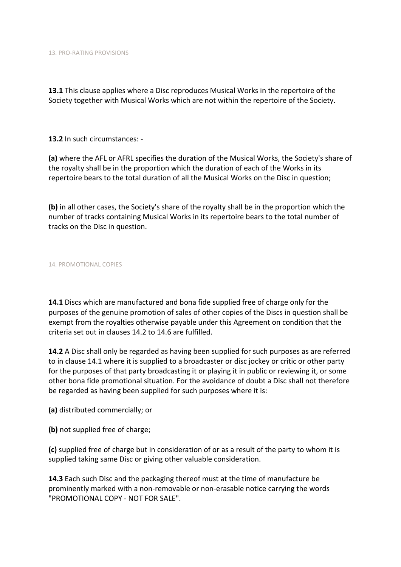**13.1** This clause applies where a Disc reproduces Musical Works in the repertoire of the Society together with Musical Works which are not within the repertoire of the Society.

**13.2** In such circumstances: -

**(a)** where the AFL or AFRL specifies the duration of the Musical Works, the Society's share of the royalty shall be in the proportion which the duration of each of the Works in its repertoire bears to the total duration of all the Musical Works on the Disc in question;

**(b)** in all other cases, the Society's share of the royalty shall be in the proportion which the number of tracks containing Musical Works in its repertoire bears to the total number of tracks on the Disc in question.

14. PROMOTIONAL COPIES

**14.1** Discs which are manufactured and bona fide supplied free of charge only for the purposes of the genuine promotion of sales of other copies of the Discs in question shall be exempt from the royalties otherwise payable under this Agreement on condition that the criteria set out in clauses 14.2 to 14.6 are fulfilled.

**14.2** A Disc shall only be regarded as having been supplied for such purposes as are referred to in clause 14.1 where it is supplied to a broadcaster or disc jockey or critic or other party for the purposes of that party broadcasting it or playing it in public or reviewing it, or some other bona fide promotional situation. For the avoidance of doubt a Disc shall not therefore be regarded as having been supplied for such purposes where it is:

**(a)** distributed commercially; or

**(b)** not supplied free of charge;

**(c)** supplied free of charge but in consideration of or as a result of the party to whom it is supplied taking same Disc or giving other valuable consideration.

**14.3** Each such Disc and the packaging thereof must at the time of manufacture be prominently marked with a non-removable or non-erasable notice carrying the words "PROMOTIONAL COPY - NOT FOR SALE".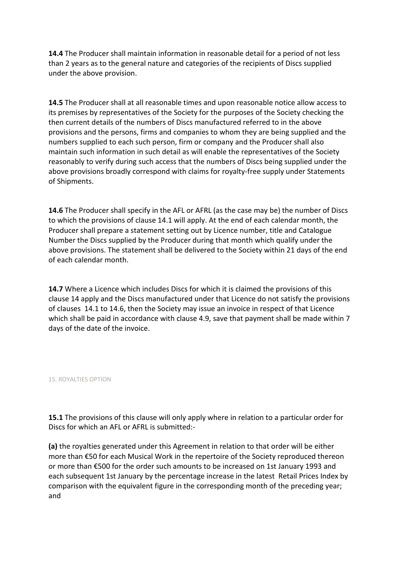**14.4** The Producer shall maintain information in reasonable detail for a period of not less than 2 years as to the general nature and categories of the recipients of Discs supplied under the above provision.

**14.5** The Producer shall at all reasonable times and upon reasonable notice allow access to its premises by representatives of the Society for the purposes of the Society checking the then current details of the numbers of Discs manufactured referred to in the above provisions and the persons, firms and companies to whom they are being supplied and the numbers supplied to each such person, firm or company and the Producer shall also maintain such information in such detail as will enable the representatives of the Society reasonably to verify during such access that the numbers of Discs being supplied under the above provisions broadly correspond with claims for royalty-free supply under Statements of Shipments.

**14.6** The Producer shall specify in the AFL or AFRL (as the case may be) the number of Discs to which the provisions of clause 14.1 will apply. At the end of each calendar month, the Producer shall prepare a statement setting out by Licence number, title and Catalogue Number the Discs supplied by the Producer during that month which qualify under the above provisions. The statement shall be delivered to the Society within 21 days of the end of each calendar month.

**14.7** Where a Licence which includes Discs for which it is claimed the provisions of this clause 14 apply and the Discs manufactured under that Licence do not satisfy the provisions of clauses 14.1 to 14.6, then the Society may issue an invoice in respect of that Licence which shall be paid in accordance with clause 4.9, save that payment shall be made within 7 days of the date of the invoice.

# 15. ROYALTIES OPTION

**15.1** The provisions of this clause will only apply where in relation to a particular order for Discs for which an AFL or AFRL is submitted:-

**(a)** the royalties generated under this Agreement in relation to that order will be either more than €50 for each Musical Work in the repertoire of the Society reproduced thereon or more than €500 for the order such amounts to be increased on 1st January 1993 and each subsequent 1st January by the percentage increase in the latest Retail Prices Index by comparison with the equivalent figure in the corresponding month of the preceding year; and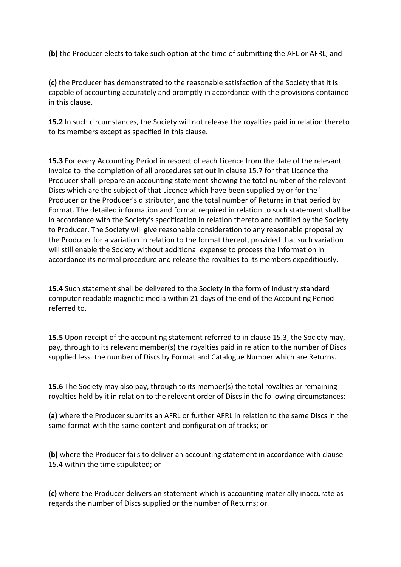**(b)** the Producer elects to take such option at the time of submitting the AFL or AFRL; and

**(c)** the Producer has demonstrated to the reasonable satisfaction of the Society that it is capable of accounting accurately and promptly in accordance with the provisions contained in this clause.

**15.2** In such circumstances, the Society will not release the royalties paid in relation thereto to its members except as specified in this clause.

**15.3** For every Accounting Period in respect of each Licence from the date of the relevant invoice to the completion of all procedures set out in clause 15.7 for that Licence the Producer shall prepare an accounting statement showing the total number of the relevant Discs which are the subject of that Licence which have been supplied by or for the ' Producer or the Producer's distributor, and the total number of Returns in that period by Format. The detailed information and format required in relation to such statement shall be in accordance with the Society's specification in relation thereto and notified by the Society to Producer. The Society will give reasonable consideration to any reasonable proposal by the Producer for a variation in relation to the format thereof, provided that such variation will still enable the Society without additional expense to process the information in accordance its normal procedure and release the royalties to its members expeditiously.

**15.4** Such statement shall be delivered to the Society in the form of industry standard computer readable magnetic media within 21 days of the end of the Accounting Period referred to.

**15.5** Upon receipt of the accounting statement referred to in clause 15.3, the Society may, pay, through to its relevant member(s) the royalties paid in relation to the number of Discs supplied less. the number of Discs by Format and Catalogue Number which are Returns.

**15.6** The Society may also pay, through to its member(s) the total royalties or remaining royalties held by it in relation to the relevant order of Discs in the following circumstances:-

**(a)** where the Producer submits an AFRL or further AFRL in relation to the same Discs in the same format with the same content and configuration of tracks; or

**(b)** where the Producer fails to deliver an accounting statement in accordance with clause 15.4 within the time stipulated; or

**(c)** where the Producer delivers an statement which is accounting materially inaccurate as regards the number of Discs supplied or the number of Returns; or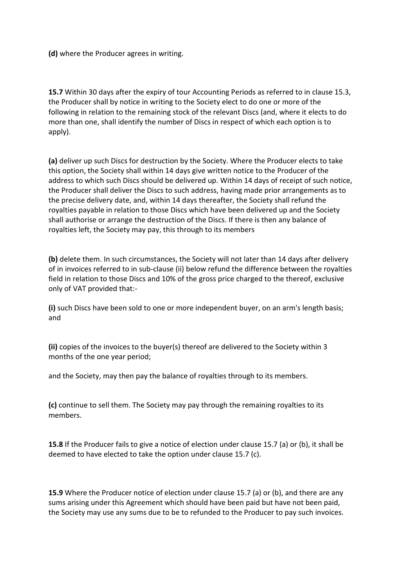**(d)** where the Producer agrees in writing.

**15.7** Within 30 days after the expiry of tour Accounting Periods as referred to in clause 15.3, the Producer shall by notice in writing to the Society elect to do one or more of the following in relation to the remaining stock of the relevant Discs (and, where it elects to do more than one, shall identify the number of Discs in respect of which each option is to apply).

**(a)** deliver up such Discs for destruction by the Society. Where the Producer elects to take this option, the Society shall within 14 days give written notice to the Producer of the address to which such Discs should be delivered up. Within 14 days of receipt of such notice, the Producer shall deliver the Discs to such address, having made prior arrangements as to the precise delivery date, and, within 14 days thereafter, the Society shall refund the royalties payable in relation to those Discs which have been delivered up and the Society shall authorise or arrange the destruction of the Discs. If there is then any balance of royalties left, the Society may pay, this through to its members

**(b)** delete them. In such circumstances, the Society will not later than 14 days after delivery of in invoices referred to in sub-clause (ii) below refund the difference between the royalties field in relation to those Discs and 10% of the gross price charged to the thereof, exclusive only of VAT provided that:-

**(i)** such Discs have been sold to one or more independent buyer, on an arm's length basis; and

**(ii)** copies of the invoices to the buyer(s) thereof are delivered to the Society within 3 months of the one year period;

and the Society, may then pay the balance of royalties through to its members.

**(c)** continue to sell them. The Society may pay through the remaining royalties to its members.

**15.8** If the Producer fails to give a notice of election under clause 15.7 (a) or (b), it shall be deemed to have elected to take the option under clause 15.7 (c).

**15.9** Where the Producer notice of election under clause 15.7 (a) or (b), and there are any sums arising under this Agreement which should have been paid but have not been paid, the Society may use any sums due to be to refunded to the Producer to pay such invoices.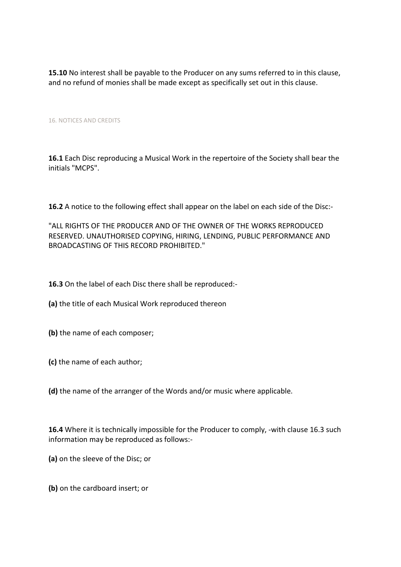**15.10** No interest shall be payable to the Producer on any sums referred to in this clause, and no refund of monies shall be made except as specifically set out in this clause.

### 16. NOTICES AND CREDITS

**16.1** Each Disc reproducing a Musical Work in the repertoire of the Society shall bear the initials "MCPS".

**16.2** A notice to the following effect shall appear on the label on each side of the Disc:-

"ALL RIGHTS OF THE PRODUCER AND OF THE OWNER OF THE WORKS REPRODUCED RESERVED. UNAUTHORISED COPYING, HIRING, LENDING, PUBLIC PERFORMANCE AND BROADCASTING OF THIS RECORD PROHIBITED."

**16.3** On the label of each Disc there shall be reproduced:-

**(a)** the title of each Musical Work reproduced thereon

**(b)** the name of each composer;

**(c)** the name of each author;

**(d)** the name of the arranger of the Words and/or music where applicable.

**16.4** Where it is technically impossible for the Producer to comply, -with clause 16.3 such information may be reproduced as follows:-

**(a)** on the sleeve of the Disc; or

**(b)** on the cardboard insert; or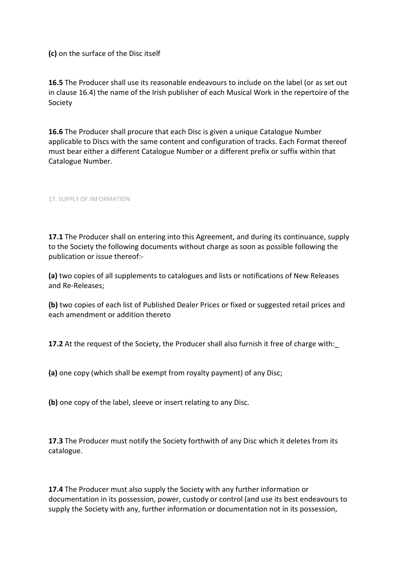**(c)** on the surface of the Disc itself

**16.5** The Producer shall use its reasonable endeavours to include on the label (or as set out in clause 16.4) the name of the Irish publisher of each Musical Work in the repertoire of the Society

**16.6** The Producer shall procure that each Disc is given a unique Catalogue Number applicable to Discs with the same content and configuration of tracks. Each Format thereof must bear either a different Catalogue Number or a different prefix or suffix within that Catalogue Number.

17. SUPPLY OF INFORMATION

**17.1** The Producer shall on entering into this Agreement, and during its continuance, supply to the Society the following documents without charge as soon as possible following the publication or issue thereof:-

**(a)** two copies of all supplements to catalogues and lists or notifications of New Releases and Re-Releases;

**(b)** two copies of each list of Published Dealer Prices or fixed or suggested retail prices and each amendment or addition thereto

**17.2** At the request of the Society, the Producer shall also furnish it free of charge with:\_

**(a)** one copy (which shall be exempt from royalty payment) of any Disc;

**(b)** one copy of the label, sleeve or insert relating to any Disc.

**17.3** The Producer must notify the Society forthwith of any Disc which it deletes from its catalogue.

**17.4** The Producer must also supply the Society with any further information or documentation in its possession, power, custody or control (and use its best endeavours to supply the Society with any, further information or documentation not in its possession,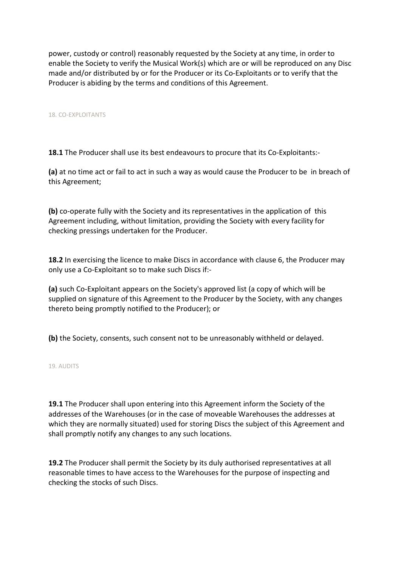power, custody or control) reasonably requested by the Society at any time, in order to enable the Society to verify the Musical Work(s) which are or will be reproduced on any Disc made and/or distributed by or for the Producer or its Co-Exploitants or to verify that the Producer is abiding by the terms and conditions of this Agreement.

18. CO-EXPLOITANTS

**18.1** The Producer shall use its best endeavours to procure that its Co-Exploitants:-

**(a)** at no time act or fail to act in such a way as would cause the Producer to be in breach of this Agreement;

**(b)** co-operate fully with the Society and its representatives in the application of this Agreement including, without limitation, providing the Society with every facility for checking pressings undertaken for the Producer.

**18.2** In exercising the licence to make Discs in accordance with clause 6, the Producer may only use a Co-Exploitant so to make such Discs if:-

**(a)** such Co-Exploitant appears on the Society's approved list (a copy of which will be supplied on signature of this Agreement to the Producer by the Society, with any changes thereto being promptly notified to the Producer); or

**(b)** the Society, consents, such consent not to be unreasonably withheld or delayed.

19. AUDITS

**19.1** The Producer shall upon entering into this Agreement inform the Society of the addresses of the Warehouses (or in the case of moveable Warehouses the addresses at which they are normally situated) used for storing Discs the subject of this Agreement and shall promptly notify any changes to any such locations.

**19.2** The Producer shall permit the Society by its duly authorised representatives at all reasonable times to have access to the Warehouses for the purpose of inspecting and checking the stocks of such Discs.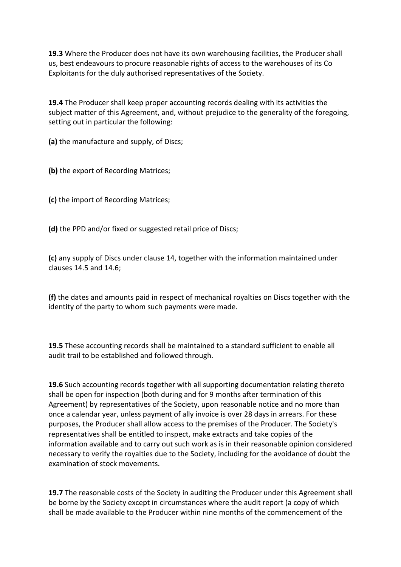**19.3** Where the Producer does not have its own warehousing facilities, the Producer shall us, best endeavours to procure reasonable rights of access to the warehouses of its Co Exploitants for the duly authorised representatives of the Society.

**19.4** The Producer shall keep proper accounting records dealing with its activities the subject matter of this Agreement, and, without prejudice to the generality of the foregoing, setting out in particular the following:

**(a)** the manufacture and supply, of Discs;

**(b)** the export of Recording Matrices;

**(c)** the import of Recording Matrices;

**(d)** the PPD and/or fixed or suggested retail price of Discs;

**(c)** any supply of Discs under clause 14, together with the information maintained under clauses 14.5 and 14.6;

**(f)** the dates and amounts paid in respect of mechanical royalties on Discs together with the identity of the party to whom such payments were made.

**19.5** These accounting records shall be maintained to a standard sufficient to enable all audit trail to be established and followed through.

**19.6** Such accounting records together with all supporting documentation relating thereto shall be open for inspection (both during and for 9 months after termination of this Agreement) by representatives of the Society, upon reasonable notice and no more than once a calendar year, unless payment of ally invoice is over 28 days in arrears. For these purposes, the Producer shall allow access to the premises of the Producer. The Society's representatives shall be entitled to inspect, make extracts and take copies of the information available and to carry out such work as is in their reasonable opinion considered necessary to verify the royalties due to the Society, including for the avoidance of doubt the examination of stock movements.

**19.7** The reasonable costs of the Society in auditing the Producer under this Agreement shall be borne by the Society except in circumstances where the audit report (a copy of which shall be made available to the Producer within nine months of the commencement of the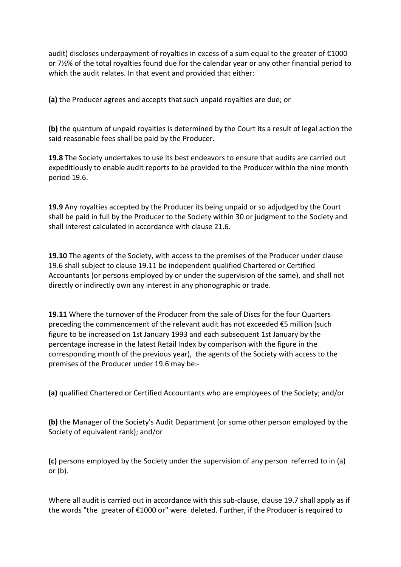audit) discloses underpayment of royalties in excess of a sum equal to the greater of €1000 or 7½% of the total royalties found due for the calendar year or any other financial period to which the audit relates. In that event and provided that either:

**(a)** the Producer agrees and accepts thatsuch unpaid royalties are due; or

**(b)** the quantum of unpaid royalties is determined by the Court its a result of legal action the said reasonable fees shall be paid by the Producer.

**19.8** The Society undertakes to use its best endeavors to ensure that audits are carried out expeditiously to enable audit reports to be provided to the Producer within the nine month period 19.6.

**19.9** Any royalties accepted by the Producer its being unpaid or so adjudged by the Court shall be paid in full by the Producer to the Society within 30 or judgment to the Society and shall interest calculated in accordance with clause 21.6.

**19.10** The agents of the Society, with access to the premises of the Producer under clause 19.6 shall subject to clause 19.11 be independent qualified Chartered or Certified Accountants (or persons employed by or under the supervision of the same), and shall not directly or indirectly own any interest in any phonographic or trade.

**19.11** Where the turnover of the Producer from the sale of Discs for the four Quarters preceding the commencement of the relevant audit has not exceeded €5 million (such figure to be increased on 1st January 1993 and each subsequent 1st January by the percentage increase in the latest Retail Index by comparison with the figure in the corresponding month of the previous year), the agents of the Society with access to the premises of the Producer under 19.6 may be:-

**(a)** qualified Chartered or Certified Accountants who are employees of the Society; and/or

**(b)** the Manager of the Society's Audit Department (or some other person employed by the Society of equivalent rank); and/or

**(c)** persons employed by the Society under the supervision of any person referred to in (a) or (b).

Where all audit is carried out in accordance with this sub-clause, clause 19.7 shall apply as if the words "the greater of €1000 or" were deleted. Further, if the Producer is required to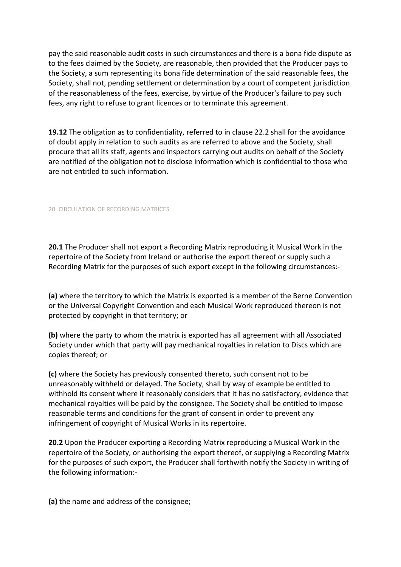pay the said reasonable audit costs in such circumstances and there is a bona fide dispute as to the fees claimed by the Society, are reasonable, then provided that the Producer pays to the Society, a sum representing its bona fide determination of the said reasonable fees, the Society, shall not, pending settlement or determination by a court of competent jurisdiction of the reasonableness of the fees, exercise, by virtue of the Producer's failure to pay such fees, any right to refuse to grant licences or to terminate this agreement.

**19.12** The obligation as to confidentiality, referred to in clause 22.2 shall for the avoidance of doubt apply in relation to such audits as are referred to above and the Society, shall procure that all its staff, agents and inspectors carrying out audits on behalf of the Society are notified of the obligation not to disclose information which is confidential to those who are not entitled to such information.

# 20. CIRCULATION OF RECORDING MATRICES

**20.1** The Producer shall not export a Recording Matrix reproducing it Musical Work in the repertoire of the Society from Ireland or authorise the export thereof or supply such a Recording Matrix for the purposes of such export except in the following circumstances:-

**(a)** where the territory to which the Matrix is exported is a member of the Berne Convention or the Universal Copyright Convention and each Musical Work reproduced thereon is not protected by copyright in that territory; or

**(b)** where the party to whom the matrix is exported has all agreement with all Associated Society under which that party will pay mechanical royalties in relation to Discs which are copies thereof; or

**(c)** where the Society has previously consented thereto, such consent not to be unreasonably withheld or delayed. The Society, shall by way of example be entitled to withhold its consent where it reasonably considers that it has no satisfactory, evidence that mechanical royalties will be paid by the consignee. The Society shall be entitled to impose reasonable terms and conditions for the grant of consent in order to prevent any infringement of copyright of Musical Works in its repertoire.

**20.2** Upon the Producer exporting a Recording Matrix reproducing a Musical Work in the repertoire of the Society, or authorising the export thereof, or supplying a Recording Matrix for the purposes of such export, the Producer shall forthwith notify the Society in writing of the following information:-

**(a)** the name and address of the consignee;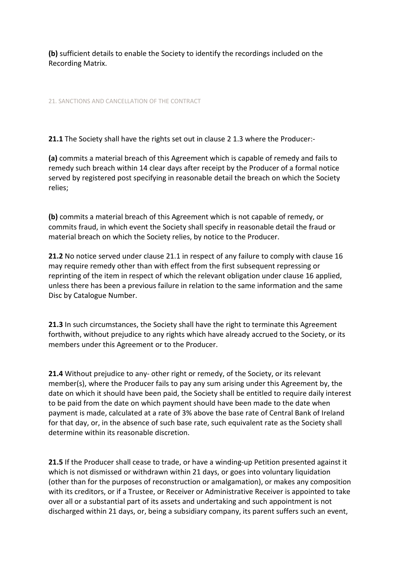**(b)** sufficient details to enable the Society to identify the recordings included on the Recording Matrix.

21. SANCTIONS AND CANCELLATION OF THE CONTRACT

**21.1** The Society shall have the rights set out in clause 2 1.3 where the Producer:-

**(a)** commits a material breach of this Agreement which is capable of remedy and fails to remedy such breach within 14 clear days after receipt by the Producer of a formal notice served by registered post specifying in reasonable detail the breach on which the Society relies;

**(b)** commits a material breach of this Agreement which is not capable of remedy, or commits fraud, in which event the Society shall specify in reasonable detail the fraud or material breach on which the Society relies, by notice to the Producer.

**21.2** No notice served under clause 21.1 in respect of any failure to comply with clause 16 may require remedy other than with effect from the first subsequent repressing or reprinting of the item in respect of which the relevant obligation under clause 16 applied, unless there has been a previous failure in relation to the same information and the same Disc by Catalogue Number.

**21.3** In such circumstances, the Society shall have the right to terminate this Agreement forthwith, without prejudice to any rights which have already accrued to the Society, or its members under this Agreement or to the Producer.

**21.4** Without prejudice to any- other right or remedy, of the Society, or its relevant member(s), where the Producer fails to pay any sum arising under this Agreement by, the date on which it should have been paid, the Society shall be entitled to require daily interest to be paid from the date on which payment should have been made to the date when payment is made, calculated at a rate of 3% above the base rate of Central Bank of Ireland for that day, or, in the absence of such base rate, such equivalent rate as the Society shall determine within its reasonable discretion.

**21.5** If the Producer shall cease to trade, or have a winding-up Petition presented against it which is not dismissed or withdrawn within 21 days, or goes into voluntary liquidation (other than for the purposes of reconstruction or amalgamation), or makes any composition with its creditors, or if a Trustee, or Receiver or Administrative Receiver is appointed to take over all or a substantial part of its assets and undertaking and such appointment is not discharged within 21 days, or, being a subsidiary company, its parent suffers such an event,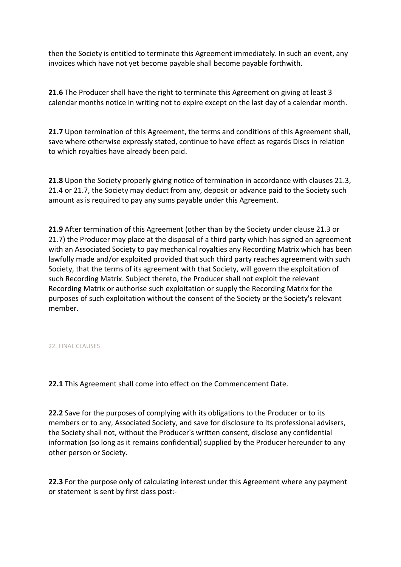then the Society is entitled to terminate this Agreement immediately. In such an event, any invoices which have not yet become payable shall become payable forthwith.

**21.6** The Producer shall have the right to terminate this Agreement on giving at least 3 calendar months notice in writing not to expire except on the last day of a calendar month.

**21.7** Upon termination of this Agreement, the terms and conditions of this Agreement shall, save where otherwise expressly stated, continue to have effect as regards Discs in relation to which royalties have already been paid.

**21.8** Upon the Society properly giving notice of termination in accordance with clauses 21.3, 21.4 or 21.7, the Society may deduct from any, deposit or advance paid to the Society such amount as is required to pay any sums payable under this Agreement.

**21.9** After termination of this Agreement (other than by the Society under clause 21.3 or 21.7) the Producer may place at the disposal of a third party which has signed an agreement with an Associated Society to pay mechanical royalties any Recording Matrix which has been lawfully made and/or exploited provided that such third party reaches agreement with such Society, that the terms of its agreement with that Society, will govern the exploitation of such Recording Matrix. Subject thereto, the Producer shall not exploit the relevant Recording Matrix or authorise such exploitation or supply the Recording Matrix for the purposes of such exploitation without the consent of the Society or the Society's relevant member.

22. FINAL CLAUSES

**22.1** This Agreement shall come into effect on the Commencement Date.

**22.2** Save for the purposes of complying with its obligations to the Producer or to its members or to any, Associated Society, and save for disclosure to its professional advisers, the Society shall not, without the Producer's written consent, disclose any confidential information (so long as it remains confidential) supplied by the Producer hereunder to any other person or Society.

**22.3** For the purpose only of calculating interest under this Agreement where any payment or statement is sent by first class post:-